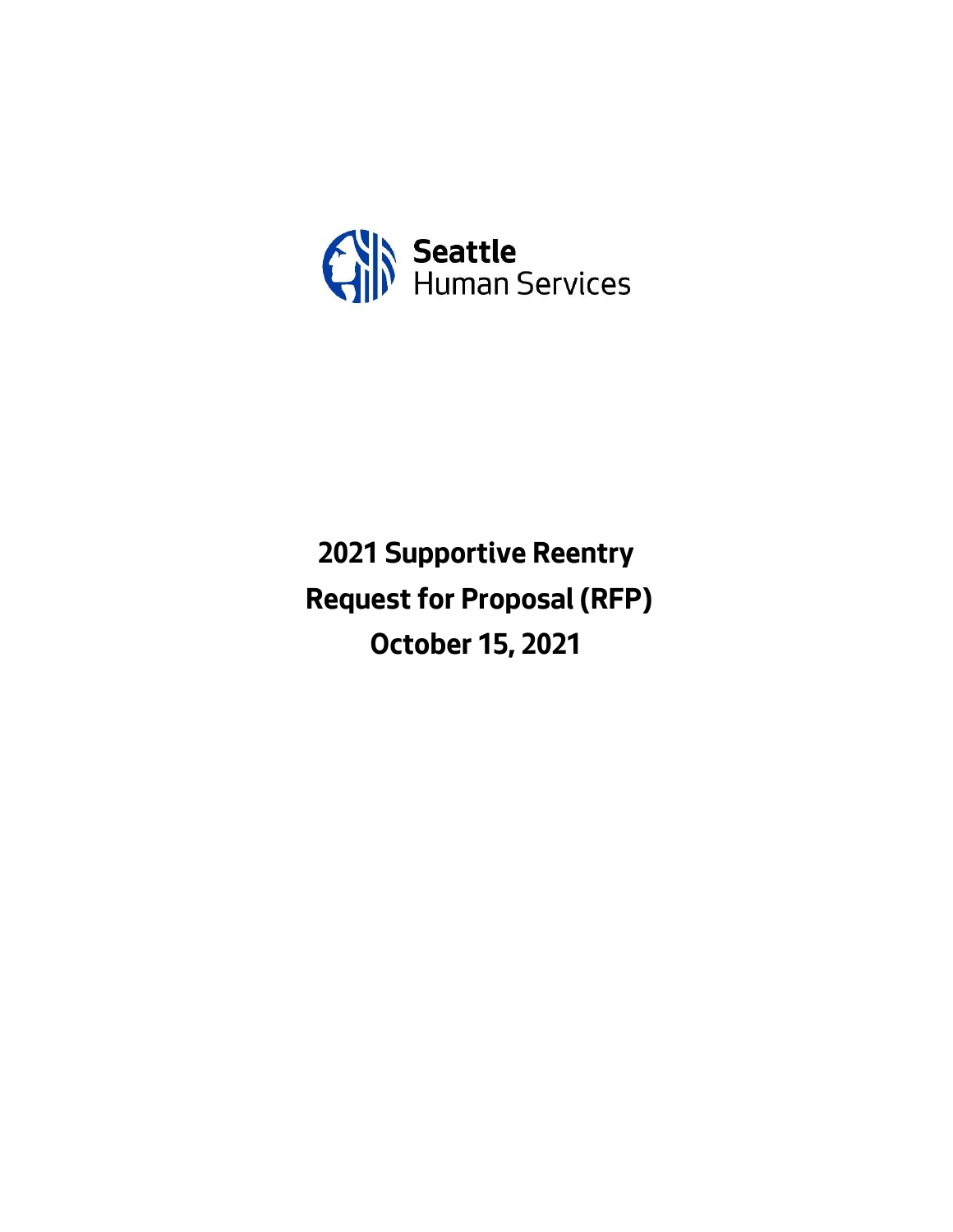

**2021 Supportive Reentry Request for Proposal (RFP) October 15, 2021**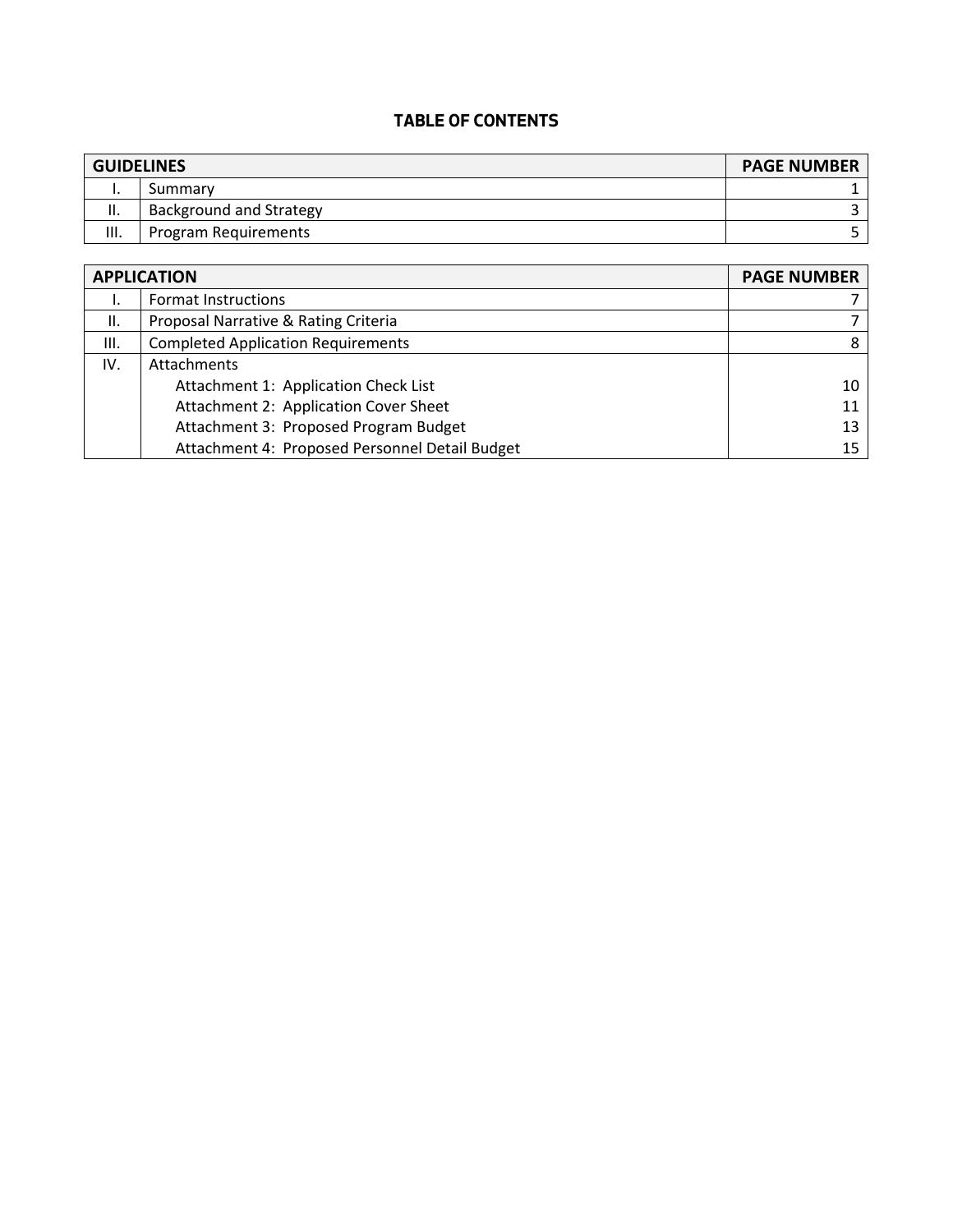# **TABLE OF CONTENTS**

| <b>GUIDELINES</b> |                                | <b>PAGE NUMBER</b> |
|-------------------|--------------------------------|--------------------|
|                   | Summary                        |                    |
| н.                | <b>Background and Strategy</b> |                    |
| Ш.                | Program Requirements           |                    |

| <b>APPLICATION</b> | <b>PAGE NUMBER</b>                             |    |
|--------------------|------------------------------------------------|----|
|                    | <b>Format Instructions</b>                     |    |
| II.                | Proposal Narrative & Rating Criteria           |    |
| III.               | <b>Completed Application Requirements</b>      | 8  |
| IV.                | <b>Attachments</b>                             |    |
|                    | Attachment 1: Application Check List           | 10 |
|                    | Attachment 2: Application Cover Sheet          | 11 |
|                    | Attachment 3: Proposed Program Budget          | 13 |
|                    | Attachment 4: Proposed Personnel Detail Budget | 15 |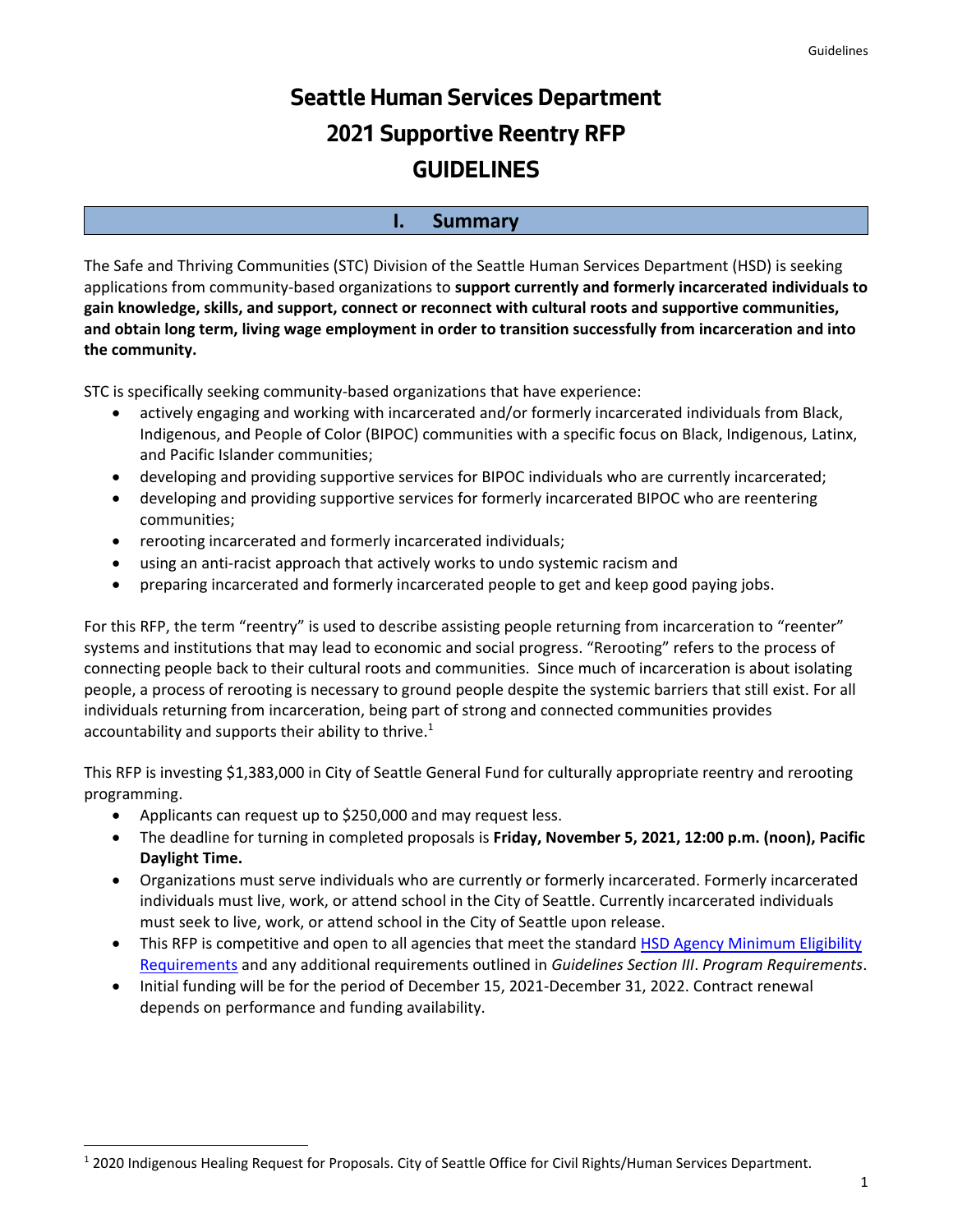# **Seattle Human Services Department 2021 Supportive Reentry RFP GUIDELINES**

### **I. Summary**

The Safe and Thriving Communities (STC) Division of the Seattle Human Services Department (HSD) is seeking applications from community-based organizations to **support currently and formerly incarcerated individuals to gain knowledge, skills, and support, connect or reconnect with cultural roots and supportive communities, and obtain long term, living wage employment in order to transition successfully from incarceration and into the community.**

STC is specifically seeking community-based organizations that have experience:

- actively engaging and working with incarcerated and/or formerly incarcerated individuals from Black, Indigenous, and People of Color (BIPOC) communities with a specific focus on Black, Indigenous, Latinx, and Pacific Islander communities;
- developing and providing supportive services for BIPOC individuals who are currently incarcerated;
- developing and providing supportive services for formerly incarcerated BIPOC who are reentering communities;
- rerooting incarcerated and formerly incarcerated individuals;
- using an anti-racist approach that actively works to undo systemic racism and
- preparing incarcerated and formerly incarcerated people to get and keep good paying jobs.

For this RFP, the term "reentry" is used to describe assisting people returning from incarceration to "reenter" systems and institutions that may lead to economic and social progress. "Rerooting" refers to the process of connecting people back to their cultural roots and communities. Since much of incarceration is about isolating people, a process of rerooting is necessary to ground people despite the systemic barriers that still exist. For all individuals returning from incarceration, being part of strong and connected communities provides accountability and supports their ability to thrive.<sup>1</sup>

This RFP is investing \$1,383,000 in City of Seattle General Fund for culturally appropriate reentry and rerooting programming.

- Applicants can request up to \$250,000 and may request less.
- The deadline for turning in completed proposals is **Friday, November 5, 2021, 12:00 p.m. (noon), Pacific Daylight Time.**
- Organizations must serve individuals who are currently or formerly incarcerated. Formerly incarcerated individuals must live, work, or attend school in the City of Seattle. Currently incarcerated individuals must seek to live, work, or attend school in the City of Seattle upon release.
- This RFP is competitive and open to all agencies that meet the standard HSD Agency Minimum Eligibility [Requirements](http://www.seattle.gov/Documents/Departments/HumanServices/Funding/NOFA/HSD%20Agency%20Minimum%20Eligibility%20Requirements.pdf) and any additional requirements outlined in *Guidelines Section III*. *Program Requirements*.
- Initial funding will be for the period of December 15, 2021-December 31, 2022. Contract renewal depends on performance and funding availability.

<sup>1</sup> 2020 Indigenous Healing Request for Proposals. City of Seattle Office for Civil Rights/Human Services Department.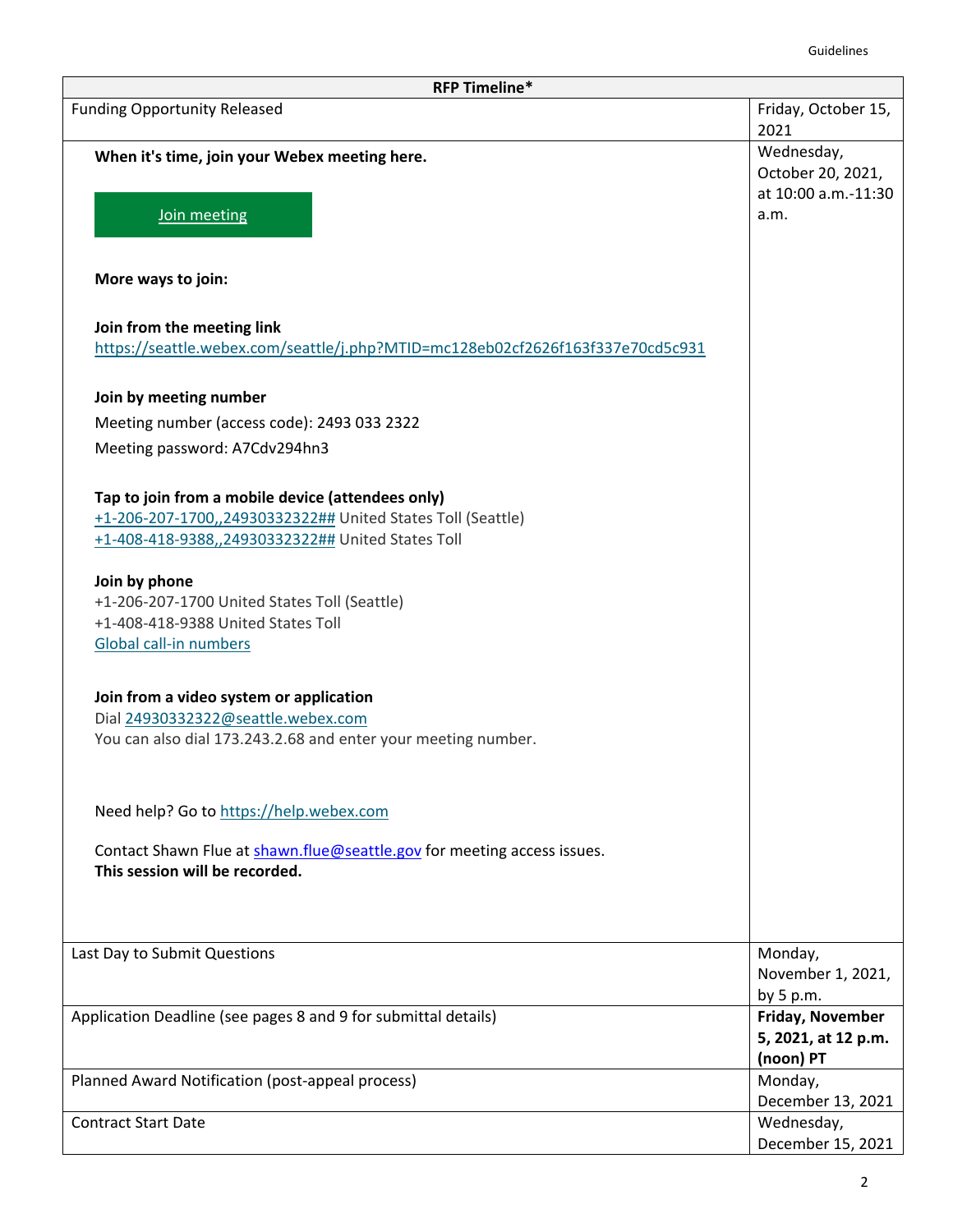| <b>RFP Timeline*</b>                                                                                                                                                  |                                                        |  |  |  |  |
|-----------------------------------------------------------------------------------------------------------------------------------------------------------------------|--------------------------------------------------------|--|--|--|--|
| <b>Funding Opportunity Released</b>                                                                                                                                   | Friday, October 15,<br>2021                            |  |  |  |  |
| When it's time, join your Webex meeting here.                                                                                                                         | Wednesday,<br>October 20, 2021,<br>at 10:00 a.m.-11:30 |  |  |  |  |
| Join meeting                                                                                                                                                          | a.m.                                                   |  |  |  |  |
| More ways to join:                                                                                                                                                    |                                                        |  |  |  |  |
| Join from the meeting link<br>https://seattle.webex.com/seattle/j.php?MTID=mc128eb02cf2626f163f337e70cd5c931                                                          |                                                        |  |  |  |  |
| Join by meeting number                                                                                                                                                |                                                        |  |  |  |  |
| Meeting number (access code): 2493 033 2322                                                                                                                           |                                                        |  |  |  |  |
| Meeting password: A7Cdv294hn3                                                                                                                                         |                                                        |  |  |  |  |
| Tap to join from a mobile device (attendees only)<br>+1-206-207-1700,,24930332322## United States Toll (Seattle)<br>+1-408-418-9388,,24930332322## United States Toll |                                                        |  |  |  |  |
| Join by phone<br>+1-206-207-1700 United States Toll (Seattle)                                                                                                         |                                                        |  |  |  |  |
| +1-408-418-9388 United States Toll<br>Global call-in numbers                                                                                                          |                                                        |  |  |  |  |
| Join from a video system or application<br>Dial 24930332322@seattle.webex.com<br>You can also dial 173.243.2.68 and enter your meeting number.                        |                                                        |  |  |  |  |
| Need help? Go to https://help.webex.com                                                                                                                               |                                                        |  |  |  |  |
| Contact Shawn Flue at shawn.flue@seattle.gov for meeting access issues.<br>This session will be recorded.                                                             |                                                        |  |  |  |  |
|                                                                                                                                                                       |                                                        |  |  |  |  |
| Last Day to Submit Questions                                                                                                                                          | Monday,<br>November 1, 2021,<br>by $5 p.m.$            |  |  |  |  |
| Application Deadline (see pages 8 and 9 for submittal details)                                                                                                        | Friday, November<br>5, 2021, at 12 p.m.<br>(noon) PT   |  |  |  |  |
| Planned Award Notification (post-appeal process)                                                                                                                      | Monday,<br>December 13, 2021                           |  |  |  |  |
| <b>Contract Start Date</b>                                                                                                                                            | Wednesday,<br>December 15, 2021                        |  |  |  |  |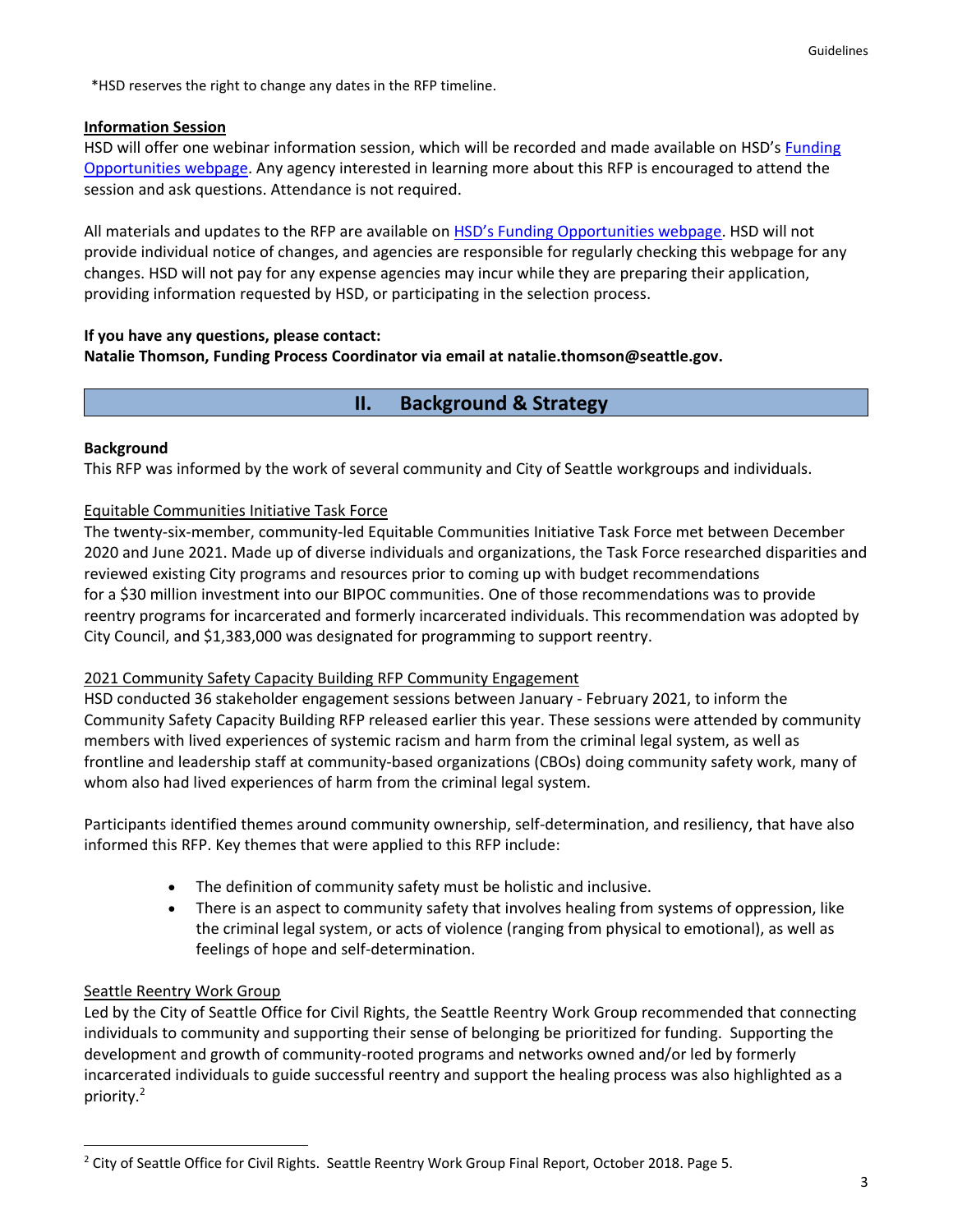\*HSD reserves the right to change any dates in the RFP timeline.

### **Information Session**

HSD will offer one webinar information session, which will be recorded and made available on HSD's [Funding](http://www.seattle.gov/humanservices/funding-and-reports/funding-opportunities)  [Opportunities](http://www.seattle.gov/humanservices/funding-and-reports/funding-opportunities) webpage. Any agency interested in learning more about this RFP is encouraged to attend the session and ask questions. Attendance is not required.

All materials and updates to the RFP are available on [HSD's Funding Opportunities webpage](http://www.seattle.gov/humanservices/funding-and-reports/funding-opportunities). HSD will not provide individual notice of changes, and agencies are responsible for regularly checking this webpage for any changes. HSD will not pay for any expense agencies may incur while they are preparing their application, providing information requested by HSD, or participating in the selection process.

## **If you have any questions, please contact: Natalie Thomson, Funding Process Coordinator via email at natalie.thomson@seattle.gov.**

# **II. Background & Strategy**

### **Background**

This RFP was informed by the work of several community and City of Seattle workgroups and individuals.

### Equitable Communities Initiative Task Force

The twenty-six-member, community-led Equitable Communities Initiative Task Force met between December 2020 and June 2021. Made up of diverse individuals and organizations, the Task Force researched disparities and reviewed existing City programs and resources prior to coming up with budget recommendations for a \$30 million investment into our BIPOC communities. One of those recommendations was to provide reentry programs for incarcerated and formerly incarcerated individuals. This recommendation was adopted by City Council, and \$1,383,000 was designated for programming to support reentry.

### 2021 Community Safety Capacity Building RFP Community Engagement

HSD conducted 36 stakeholder engagement sessions between January - February 2021, to inform the Community Safety Capacity Building RFP released earlier this year. These sessions were attended by community members with lived experiences of systemic racism and harm from the criminal legal system, as well as frontline and leadership staff at community-based organizations (CBOs) doing community safety work, many of whom also had lived experiences of harm from the criminal legal system.

Participants identified themes around community ownership, self-determination, and resiliency, that have also informed this RFP. Key themes that were applied to this RFP include:

- The definition of community safety must be holistic and inclusive.
- There is an aspect to community safety that involves healing from systems of oppression, like the criminal legal system, or acts of violence (ranging from physical to emotional), as well as feelings of hope and self-determination.

### Seattle Reentry Work Group

Led by the City of Seattle Office for Civil Rights, the Seattle Reentry Work Group recommended that connecting individuals to community and supporting their sense of belonging be prioritized for funding. Supporting the development and growth of community-rooted programs and networks owned and/or led by formerly incarcerated individuals to guide successful reentry and support the healing process was also highlighted as a priority. 2

<sup>&</sup>lt;sup>2</sup> City of Seattle Office for Civil Rights. Seattle Reentry Work Group Final Report, October 2018. Page 5.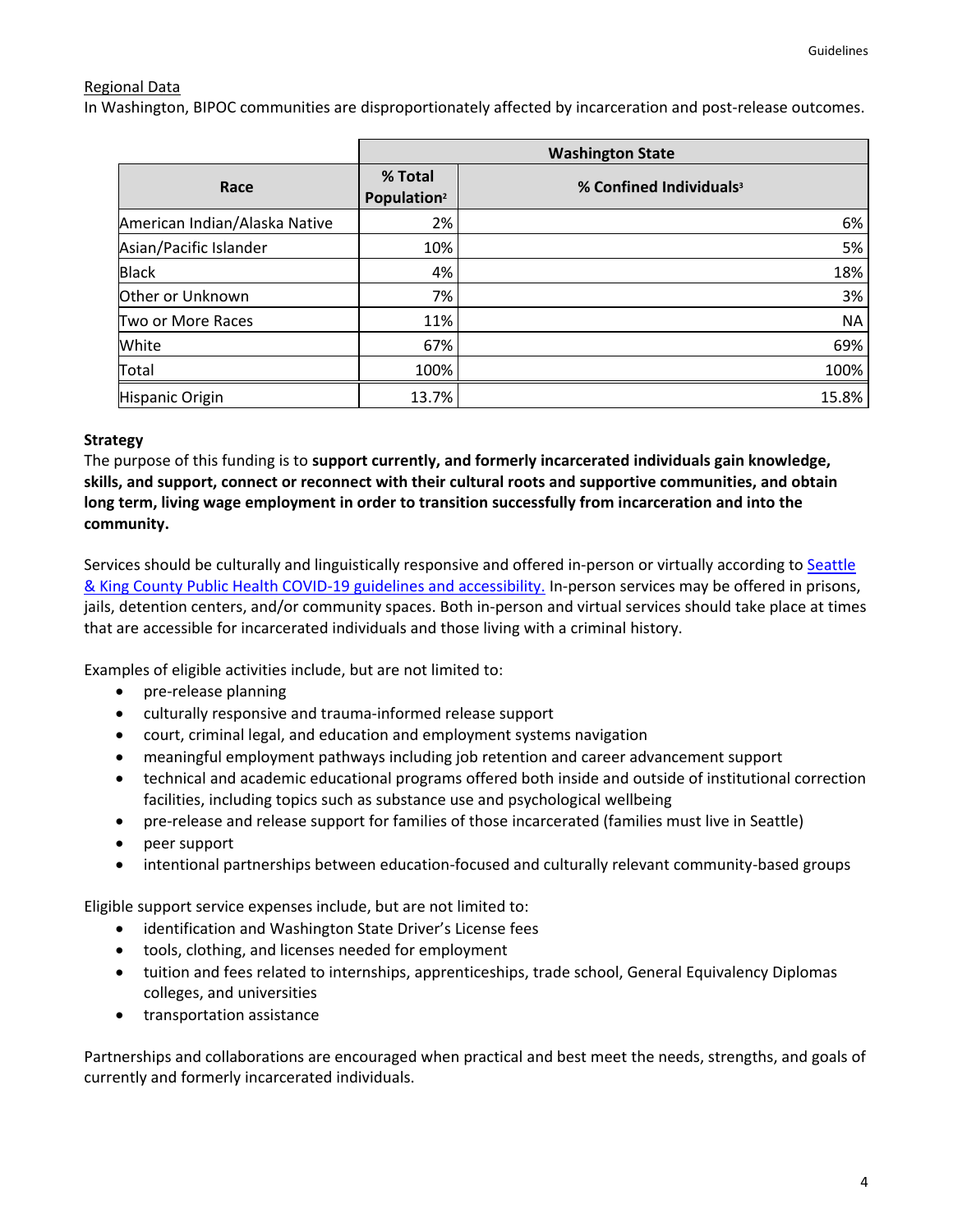### Regional Data

In Washington, BIPOC communities are disproportionately affected by incarceration and post-release outcomes.

|                               | <b>Washington State</b>            |                                     |  |
|-------------------------------|------------------------------------|-------------------------------------|--|
| Race                          | % Total<br>Population <sup>2</sup> | % Confined Individuals <sup>3</sup> |  |
| American Indian/Alaska Native | 2%                                 | 6%                                  |  |
| Asian/Pacific Islander        | 10%                                | 5%                                  |  |
| <b>Black</b>                  | 4%                                 | 18%                                 |  |
| Other or Unknown              | 7%                                 | 3%                                  |  |
| Two or More Races             | 11%                                | <b>NA</b>                           |  |
| White                         | 67%                                | 69%                                 |  |
| Total                         | 100%                               | 100%                                |  |
| Hispanic Origin               | 13.7%                              | 15.8%                               |  |

### **Strategy**

The purpose of this funding is to **support currently, and formerly incarcerated individuals gain knowledge, skills, and support, connect or reconnect with their cultural roots and supportive communities, and obtain long term, living wage employment in order to transition successfully from incarceration and into the community.**

Services should be culturally and linguistically responsive and offered in-person or virtually according to [Seattle](https://www.kingcounty.gov/depts/health/covid-19.aspx)  [& King County Public Health COVID-19 guidelines](https://www.kingcounty.gov/depts/health/covid-19.aspx) and accessibility. In-person services may be offered in prisons, jails, detention centers, and/or community spaces. Both in-person and virtual services should take place at times that are accessible for incarcerated individuals and those living with a criminal history.

Examples of eligible activities include, but are not limited to:

- pre-release planning
- culturally responsive and trauma-informed release support
- court, criminal legal, and education and employment systems navigation
- meaningful employment pathways including job retention and career advancement support
- technical and academic educational programs offered both inside and outside of institutional correction facilities, including topics such as substance use and psychological wellbeing
- pre-release and release support for families of those incarcerated (families must live in Seattle)
- peer support
- intentional partnerships between education-focused and culturally relevant community-based groups

Eligible support service expenses include, but are not limited to:

- identification and Washington State Driver's License fees
- tools, clothing, and licenses needed for employment
- tuition and fees related to internships, apprenticeships, trade school, General Equivalency Diplomas colleges, and universities
- transportation assistance

Partnerships and collaborations are encouraged when practical and best meet the needs, strengths, and goals of currently and formerly incarcerated individuals.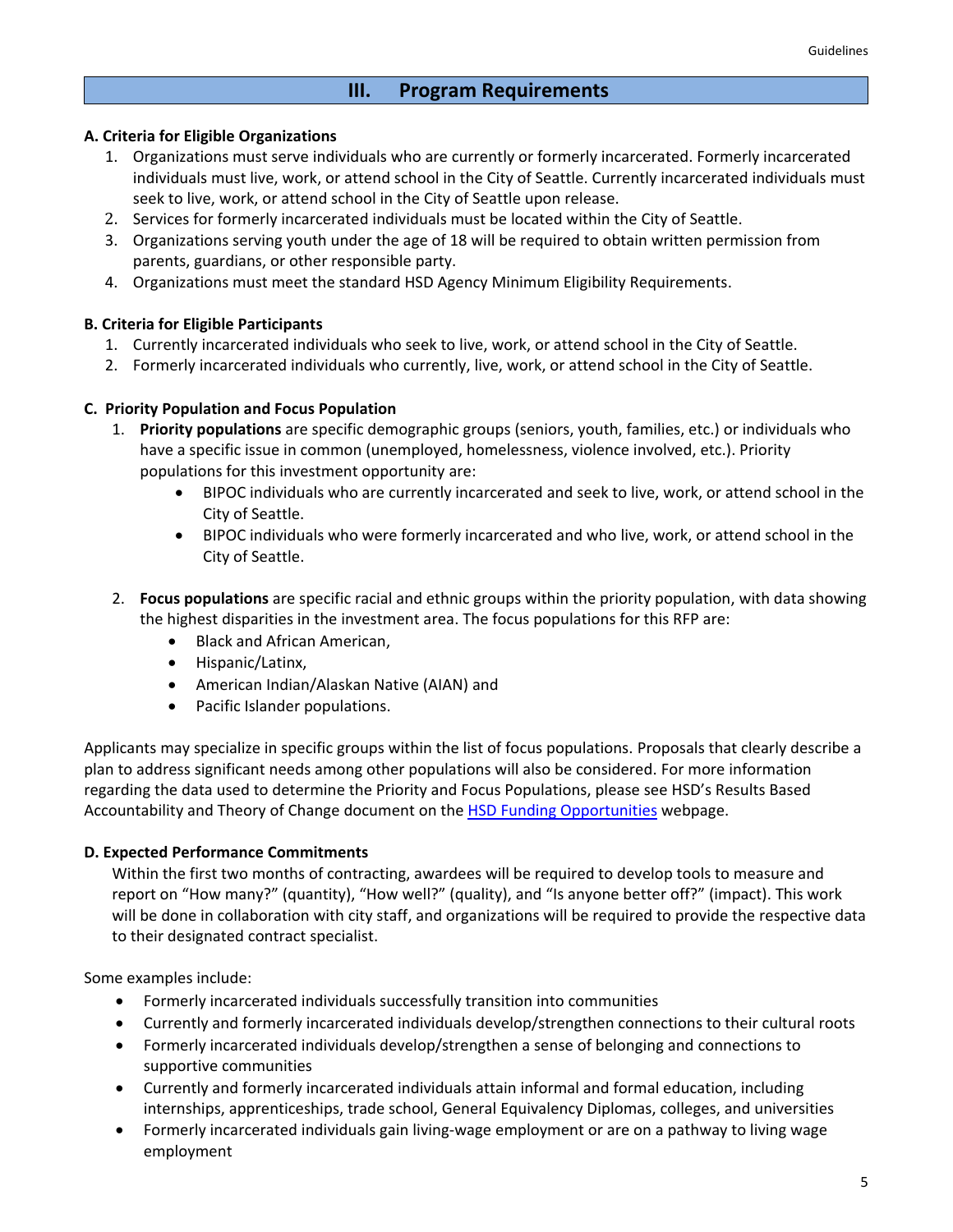# **III. Program Requirements**

### **A. Criteria for Eligible Organizations**

- 1. Organizations must serve individuals who are currently or formerly incarcerated. Formerly incarcerated individuals must live, work, or attend school in the City of Seattle. Currently incarcerated individuals must seek to live, work, or attend school in the City of Seattle upon release.
- 2. Services for formerly incarcerated individuals must be located within the City of Seattle.
- 3. Organizations serving youth under the age of 18 will be required to obtain written permission from parents, guardians, or other responsible party.
- 4. Organizations must meet the standard [HSD Agency Minimum Eligibility Requirements.](http://www.seattle.gov/Documents/Departments/HumanServices/Funding/NOFA/HSD%20Agency%20Minimum%20Eligibility%20Requirements.pdf)

### **B. Criteria for Eligible Participants**

- 1. Currently incarcerated individuals who seek to live, work, or attend school in the City of Seattle.
- 2. Formerly incarcerated individuals who currently, live, work, or attend school in the City of Seattle.

### **C. Priority Population and Focus Population**

- 1. **Priority populations** are specific demographic groups (seniors, youth, families, etc.) or individuals who have a specific issue in common (unemployed, homelessness, violence involved, etc.). Priority populations for this investment opportunity are:
	- BIPOC individuals who are currently incarcerated and seek to live, work, or attend school in the City of Seattle.
	- BIPOC individuals who were formerly incarcerated and who live, work, or attend school in the City of Seattle.
- 2. **Focus populations** are specific racial and ethnic groups within the priority population, with data showing the highest disparities in the investment area. The focus populations for this RFP are:
	- Black and African American,
	- Hispanic/Latinx,
	- American Indian/Alaskan Native (AIAN) and
	- Pacific Islander populations.

Applicants may specialize in specific groups within the list of focus populations. Proposals that clearly describe a plan to address significant needs among other populations will also be considered. For more information regarding the data used to determine the Priority and Focus Populations, please see HSD's Results Based Accountability and Theory of Change document on th[e HSD Funding Opportunities](http://www.seattle.gov/humanservices/funding-and-reports/funding-opportunities) webpage.

### **D. Expected Performance Commitments**

Within the first two months of contracting, awardees will be required to develop tools to measure and report on "How many?" (quantity), "How well?" (quality), and "Is anyone better off?" (impact). This work will be done in collaboration with city staff, and organizations will be required to provide the respective data to their designated contract specialist.

Some examples include:

- Formerly incarcerated individuals successfully transition into communities
- Currently and formerly incarcerated individuals develop/strengthen connections to their cultural roots
- Formerly incarcerated individuals develop/strengthen a sense of belonging and connections to supportive communities
- Currently and formerly incarcerated individuals attain informal and formal education, including internships, apprenticeships, trade school, General Equivalency Diplomas, colleges, and universities
- Formerly incarcerated individuals gain living-wage employment or are on a pathway to living wage employment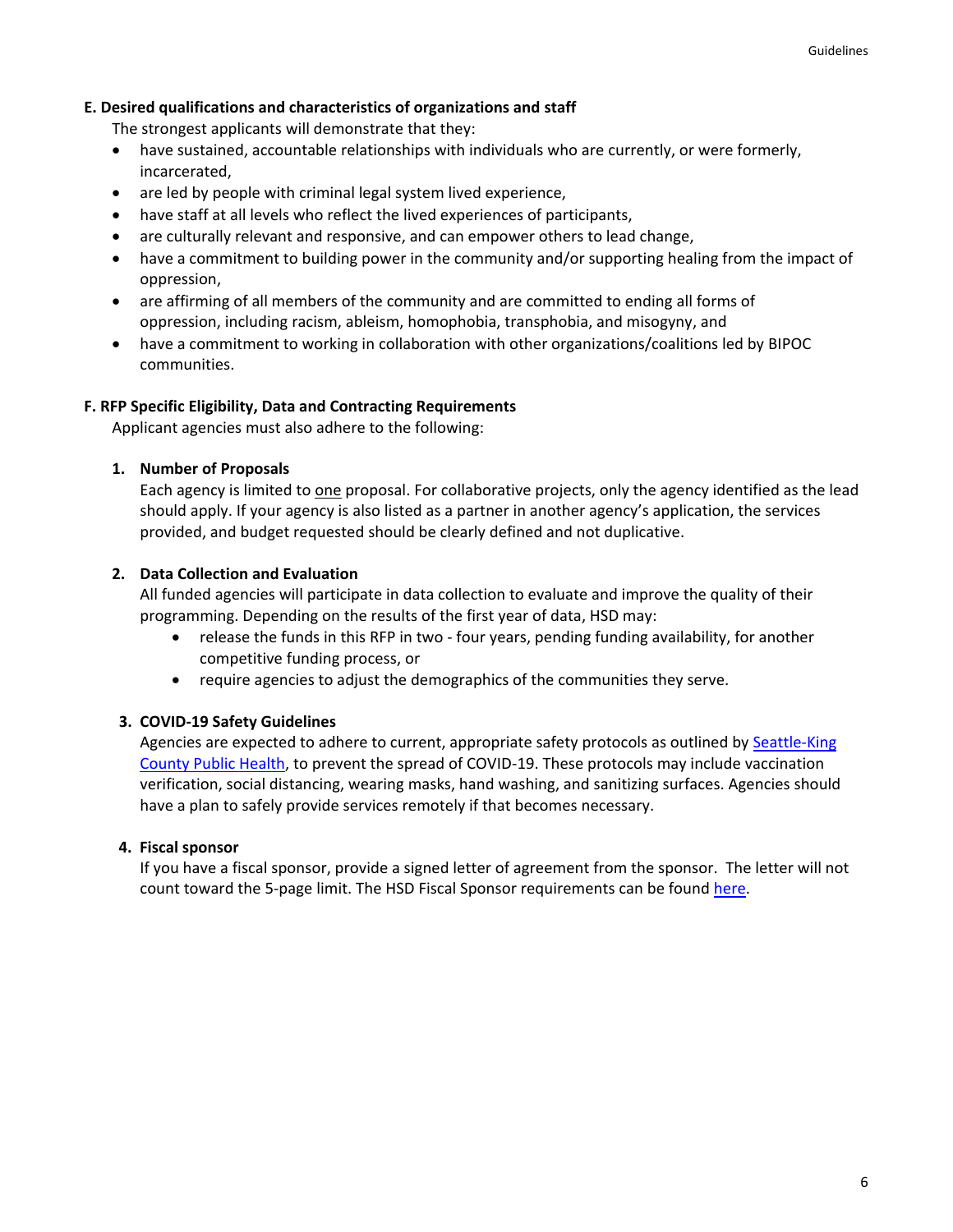### **E. Desired qualifications and characteristics of organizations and staff**

The strongest applicants will demonstrate that they:

- have sustained, accountable relationships with individuals who are currently, or were formerly, incarcerated,
- are led by people with criminal legal system lived experience,
- have staff at all levels who reflect the lived experiences of participants,
- are culturally relevant and responsive, and can empower others to lead change,
- have a commitment to building power in the community and/or supporting healing from the impact of oppression,
- are affirming of all members of the community and are committed to ending all forms of oppression, including racism, ableism, homophobia, transphobia, and misogyny, and
- have a commitment to working in collaboration with other organizations/coalitions led by BIPOC communities.

### **F. RFP Specific Eligibility, Data and Contracting Requirements**

Applicant agencies must also adhere to the following:

#### **1. Number of Proposals**

Each agency is limited to one proposal. For collaborative projects, only the agency identified as the lead should apply. If your agency is also listed as a partner in another agency's application, the services provided, and budget requested should be clearly defined and not duplicative.

### **2. Data Collection and Evaluation**

All funded agencies will participate in data collection to evaluate and improve the quality of their programming. Depending on the results of the first year of data, HSD may:

- release the funds in this RFP in two four years, pending funding availability, for another competitive funding process, or
- require agencies to adjust the demographics of the communities they serve.

### **3. COVID-19 Safety Guidelines**

Agencies are expected to adhere to current, appropriate safety protocols as outlined by Seattle-King [County Public Health,](https://www.kingcounty.gov/depts/health/covid-19.aspx) to prevent the spread of COVID-19. These protocols may include vaccination verification, social distancing, wearing masks, hand washing, and sanitizing surfaces. Agencies should have a plan to safely provide services remotely if that becomes necessary.

### **4. Fiscal sponsor**

If you have a fiscal sponsor, provide a signed letter of agreement from the sponsor. The letter will not count toward the 5-page limit. The HSD Fiscal Sponsor requirements can be found [here.](http://www.seattle.gov/Documents/Departments/HumanServices/Funding/HSD-Fiscal-Sponsor-Requirements_v4_2020.pdf)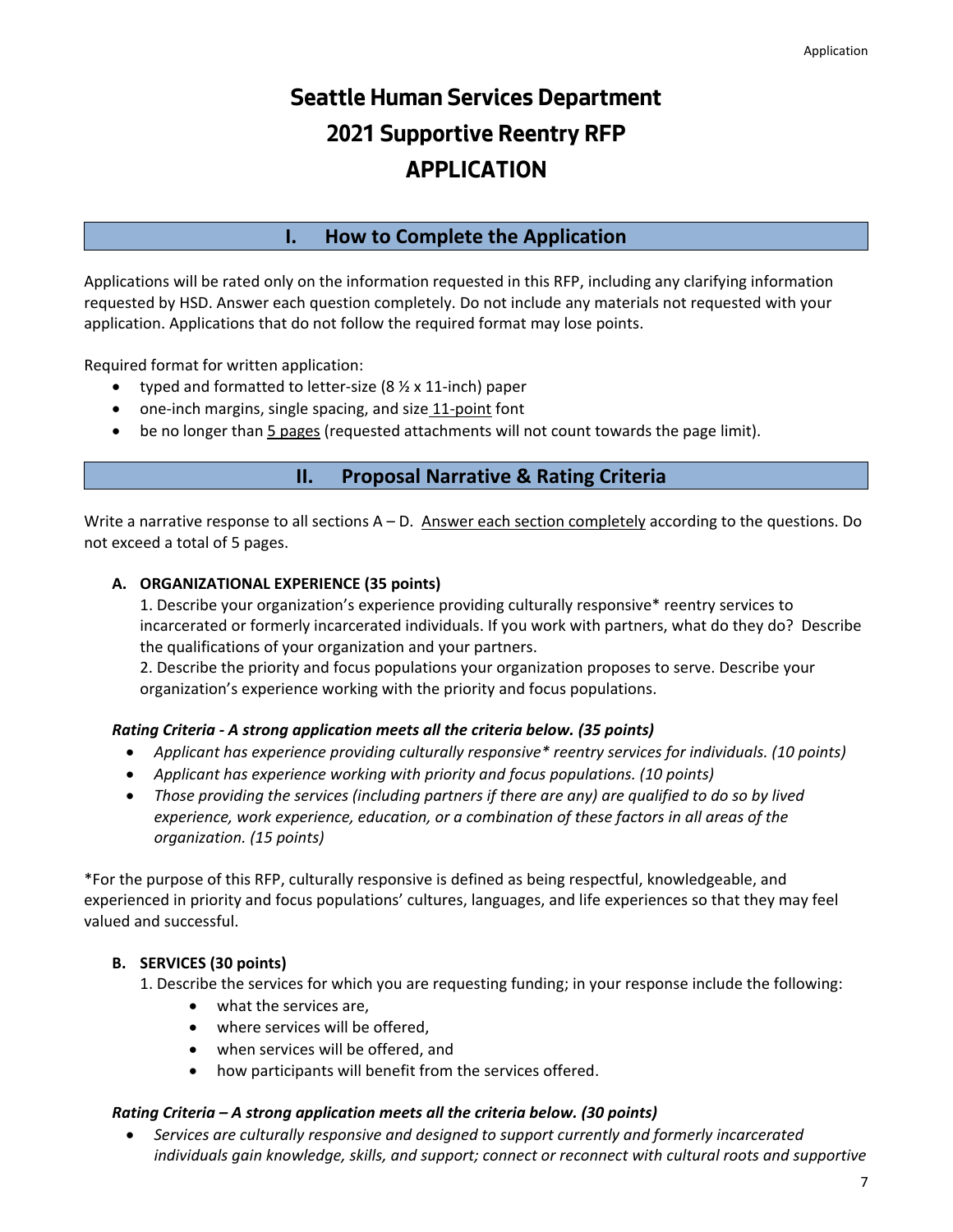# **Seattle Human Services Department 2021 Supportive Reentry RFP APPLICATION**

# **I. How to Complete the Application**

Applications will be rated only on the information requested in this RFP, including any clarifying information requested by HSD. Answer each question completely. Do not include any materials not requested with your application. Applications that do not follow the required format may lose points.

Required format for written application:

- typed and formatted to letter-size  $(8 \frac{1}{2} \times 11$ -inch) paper
- one-inch margins, single spacing, and size 11-point font
- be no longer than 5 pages (requested attachments will not count towards the page limit).

# **II. Proposal Narrative & Rating Criteria**

Write a narrative response to all sections  $A - D$ . Answer each section completely according to the questions. Do not exceed a total of 5 pages.

### **A. ORGANIZATIONAL EXPERIENCE (35 points)**

1. Describe your organization's experience providing culturally responsive\* reentry services to incarcerated or formerly incarcerated individuals. If you work with partners, what do they do? Describe the qualifications of your organization and your partners.

2. Describe the priority and focus populations your organization proposes to serve. Describe your organization's experience working with the priority and focus populations.

### *Rating Criteria - A strong application meets all the criteria below. (35 points)*

- *Applicant has experience providing culturally responsive\* reentry services for individuals. (10 points)*
- *Applicant has experience working with priority and focus populations. (10 points)*
- *Those providing the services (including partners if there are any) are qualified to do so by lived experience, work experience, education, or a combination of these factors in all areas of the organization. (15 points)*

\*For the purpose of this RFP, culturally responsive is defined as being respectful, knowledgeable, and experienced in priority and focus populations' cultures, languages, and life experiences so that they may feel valued and successful.

## **B. SERVICES (30 points)**

1. Describe the services for which you are requesting funding; in your response include the following:

- what the services are,
- where services will be offered,
- when services will be offered, and
- how participants will benefit from the services offered.

### *Rating Criteria – A strong application meets all the criteria below. (30 points)*

• *Services are culturally responsive and designed to support currently and formerly incarcerated individuals gain knowledge, skills, and support; connect or reconnect with cultural roots and supportive*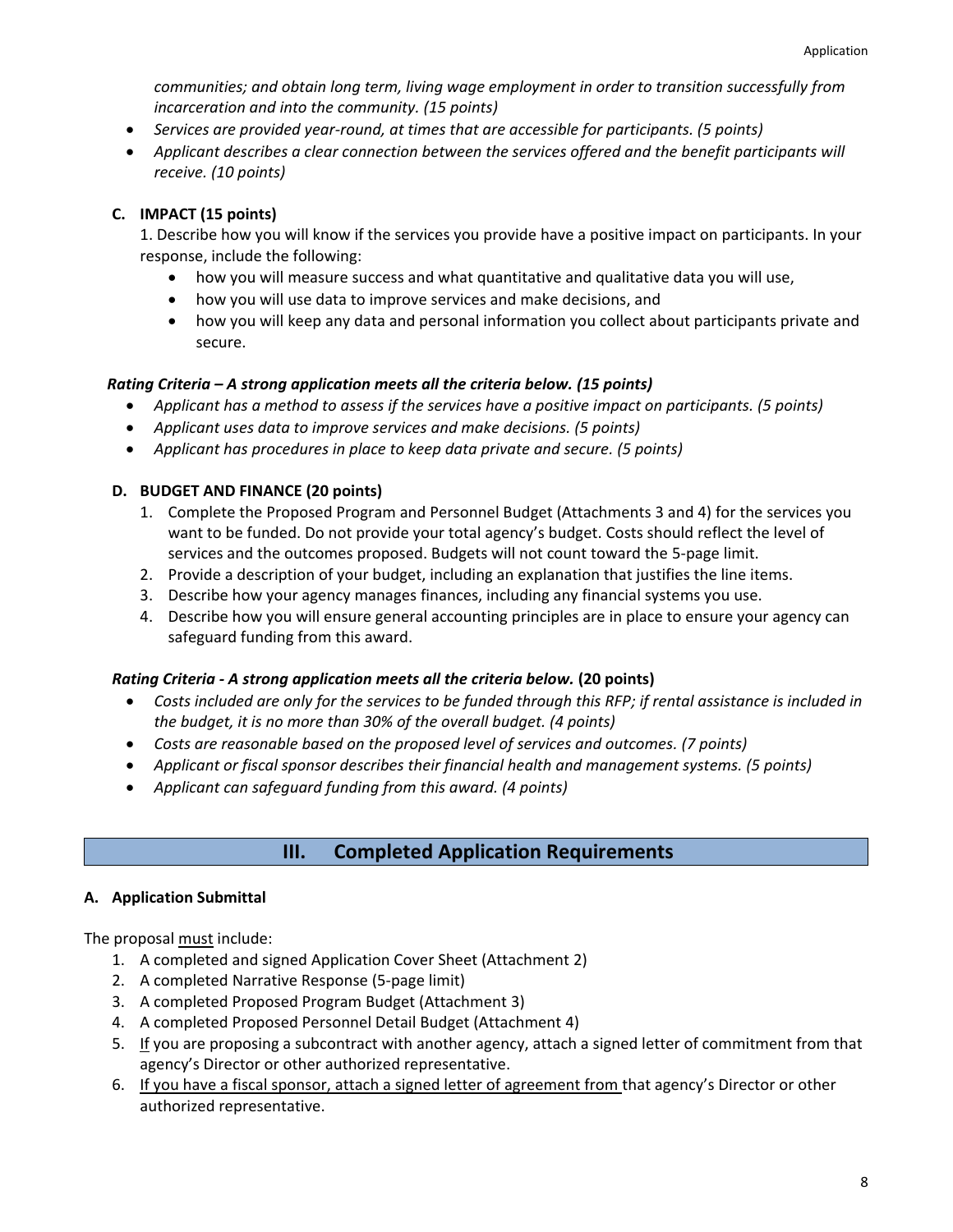*communities; and obtain long term, living wage employment in order to transition successfully from incarceration and into the community. (15 points)*

- *Services are provided year-round, at times that are accessible for participants. (5 points)*
- *Applicant describes a clear connection between the services offered and the benefit participants will receive. (10 points)*

### **C. IMPACT (15 points)**

1. Describe how you will know if the services you provide have a positive impact on participants. In your response, include the following:

- how you will measure success and what quantitative and qualitative data you will use,
- how you will use data to improve services and make decisions, and
- how you will keep any data and personal information you collect about participants private and secure.

### *Rating Criteria – A strong application meets all the criteria below. (15 points)*

- *Applicant has a method to assess if the services have a positive impact on participants. (5 points)*
- *Applicant uses data to improve services and make decisions. (5 points)*
- *Applicant has procedures in place to keep data private and secure. (5 points)*

### **D. BUDGET AND FINANCE (20 points)**

- 1. Complete the Proposed Program and Personnel Budget (Attachments 3 and 4) for the services you want to be funded. Do not provide your total agency's budget. Costs should reflect the level of services and the outcomes proposed. Budgets will not count toward the 5-page limit.
- 2. Provide a description of your budget, including an explanation that justifies the line items.
- 3. Describe how your agency manages finances, including any financial systems you use.
- 4. Describe how you will ensure general accounting principles are in place to ensure your agency can safeguard funding from this award.

### *Rating Criteria - A strong application meets all the criteria below.* **(20 points)**

- *Costs included are only for the services to be funded through this RFP; if rental assistance is included in the budget, it is no more than 30% of the overall budget. (4 points)*
- *Costs are reasonable based on the proposed level of services and outcomes. (7 points)*
- *Applicant or fiscal sponsor describes their financial health and management systems. (5 points)*
- *Applicant can safeguard funding from this award. (4 points)*

# **III. Completed Application Requirements**

### **A. Application Submittal**

The proposal must include:

- 1. A completed and signed Application Cover Sheet (Attachment 2)
- 2. A completed Narrative Response (5-page limit)
- 3. A completed Proposed Program Budget (Attachment 3)
- 4. A completed Proposed Personnel Detail Budget (Attachment 4)
- 5. If you are proposing a subcontract with another agency, attach a signed letter of commitment from that agency's Director or other authorized representative.
- 6. If you have a fiscal sponsor, attach a signed letter of agreement from that agency's Director or other authorized representative.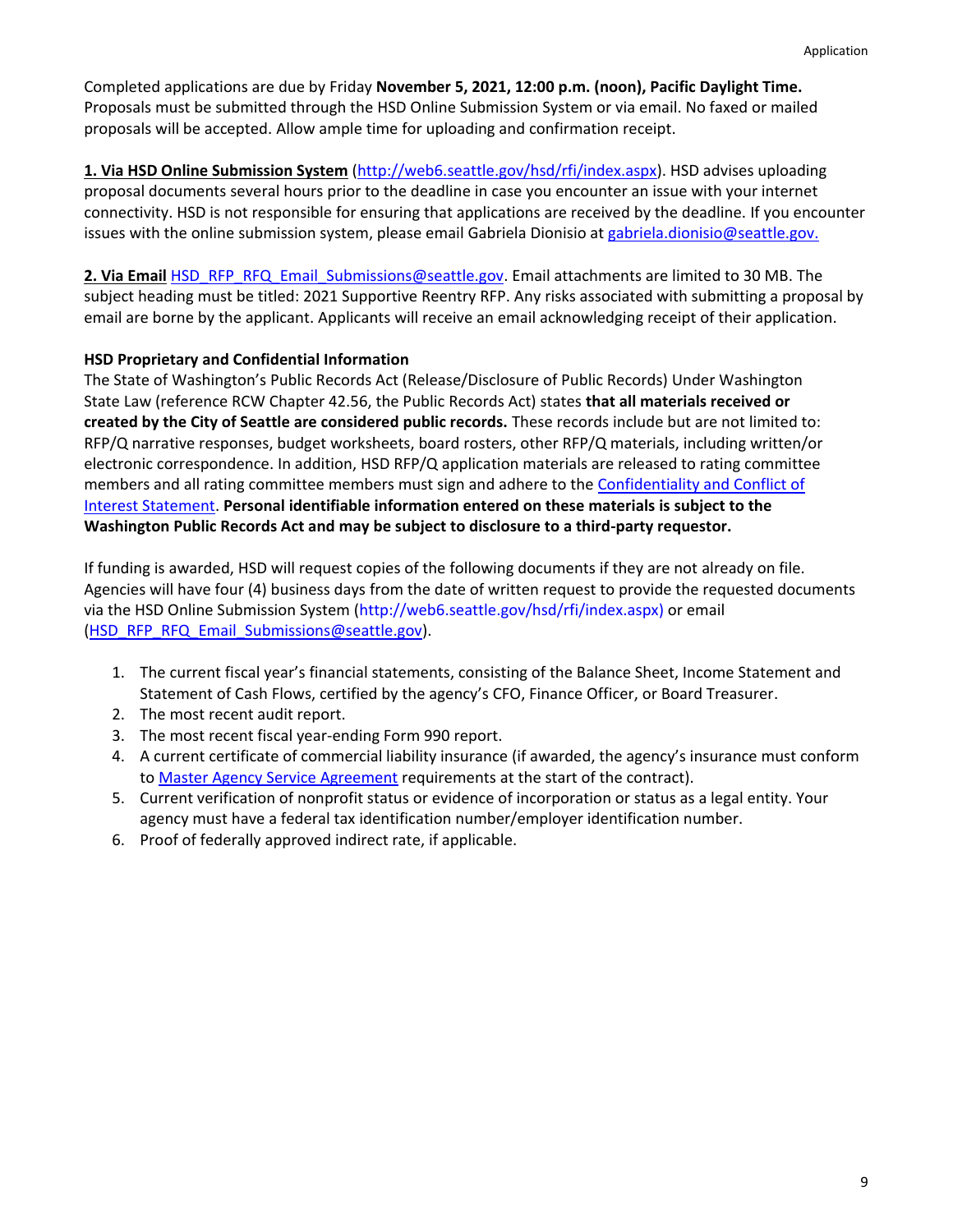Completed applications are due by Friday **November 5, 2021, 12:00 p.m. (noon), Pacific Daylight Time.**  Proposals must be submitted through the HSD Online Submission System or via email. No faxed or mailed proposals will be accepted. Allow ample time for uploading and confirmation receipt.

**1. Via HSD Online Submission System** [\(http://web6.seattle.gov/hsd/rfi/index.aspx\)](http://web6.seattle.gov/hsd/rfi/index.aspx). HSD advises uploading proposal documents several hours prior to the deadline in case you encounter an issue with your internet connectivity. HSD is not responsible for ensuring that applications are received by the deadline. If you encounter issues with the online submission system, please email Gabriela Dionisio at [gabriela.dionisio@seattle.gov.](mailto:gabriela.dionisio@seattle.gov)

**2. Via Email** [HSD\\_RFP\\_RFQ\\_Email\\_Submissions@seattle.gov.](mailto:HSD_RFP_RFQ_Email_Submissions@seattle.gov) Email attachments are limited to 30 MB. The subject heading must be titled: 2021 Supportive Reentry RFP. Any risks associated with submitting a proposal by email are borne by the applicant. Applicants will receive an email acknowledging receipt of their application.

### **HSD Proprietary and Confidential Information**

The State of Washington's Public Records Act (Release/Disclosure of Public Records) Under Washington State Law (reference RCW Chapter 42.56, the Public Records Act) states **that all materials received or created by the City of Seattle are considered public records.** These records include but are not limited to: RFP/Q narrative responses, budget worksheets, board rosters, other RFP/Q materials, including written/or electronic correspondence. In addition, HSD RFP/Q application materials are released to rating committee members and all rating committee members must sign and adhere to the [Confidentiality and Conflict of](http://www.seattle.gov/humanservices/funding-and-reports/how-to-do-business-with-hsd) [Interest Statement.](http://www.seattle.gov/humanservices/funding-and-reports/how-to-do-business-with-hsd) **Personal identifiable information entered on these materials is subject to the Washington Public Records Act and may be subject to disclosure to a third-party requestor.**

If funding is awarded, HSD will request copies of the following documents if they are not already on file. Agencies will have four (4) business days from the date of written request to provide the requested documents via the HSD Online Submission System [\(http://web6.seattle.gov/hsd/rfi/index.aspx\)](http://web6.seattle.gov/hsd/rfi/index.aspx) or email [\(HSD\\_RFP\\_RFQ\\_Email\\_Submissions@seattle.gov\)](mailto:HSD_RFP_RFQ_Email_Submissions@seattle.gov).

- 1. The current fiscal year's financial statements, consisting of the Balance Sheet, Income Statement and Statement of Cash Flows, certified by the agency's CFO, Finance Officer, or Board Treasurer.
- 2. The most recent audit report.
- 3. The most recent fiscal year-ending Form 990 report.
- 4. A current certificate of commercial liability insurance (if awarded, the agency's insurance must conform to [Master Agency Service Agreement](http://www.seattle.gov/Documents/Departments/HumanServices/Funding/NOFA/HSD_Master_Agency_Services_Agreement_Sample.pdf) requirements at the start of the contract).
- 5. Current verification of nonprofit status or evidence of incorporation or status as a legal entity. Your agency must have a federal tax identification number/employer identification number.
- 6. Proof of federally approved indirect rate, if applicable.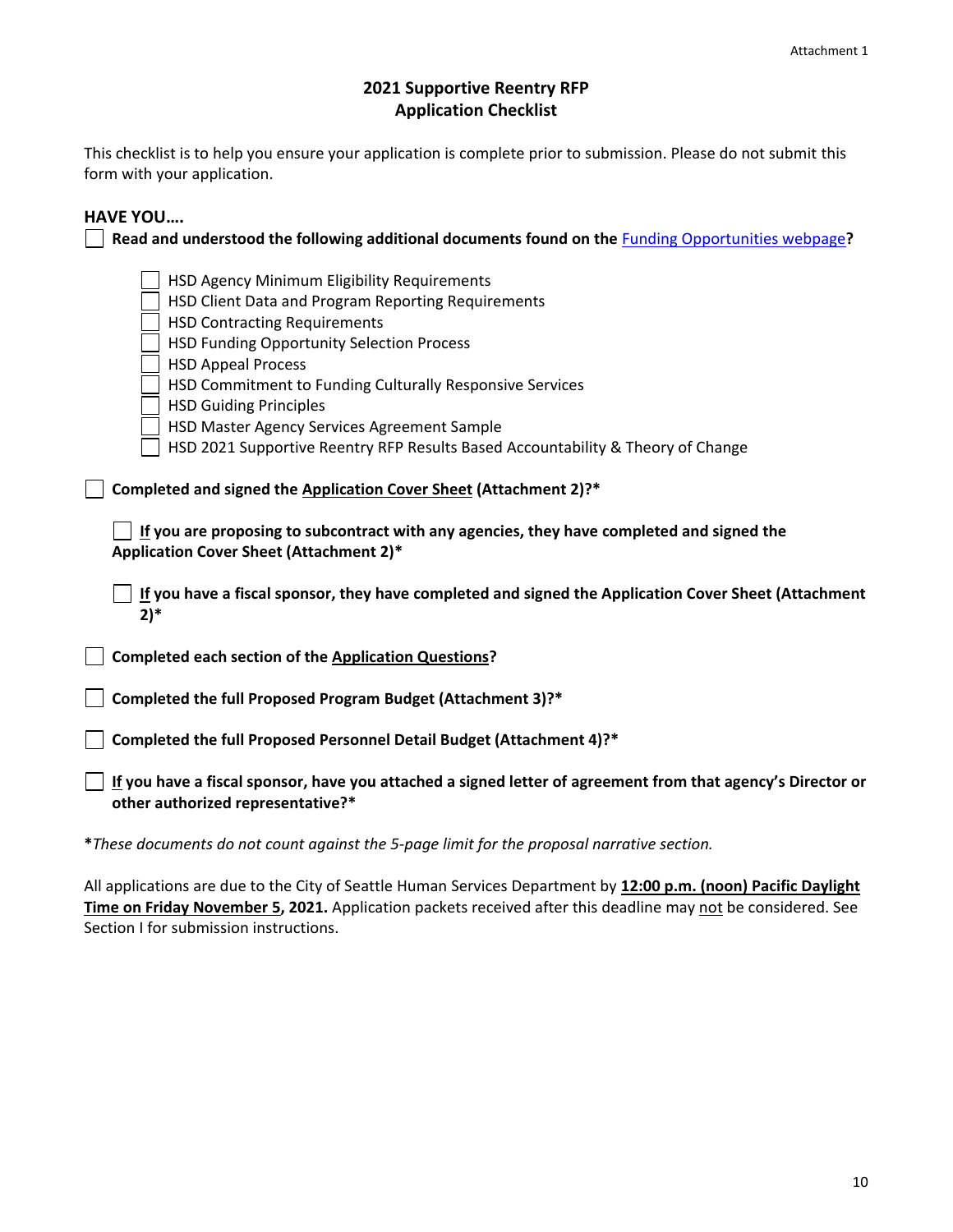## **2021 Supportive Reentry RFP Application Checklist**

This checklist is to help you ensure your application is complete prior to submission. Please do not submit this form with your application.

# **HAVE YOU….**

| HSD Agency Minimum Eligibility Requirements<br>HSD Client Data and Program Reporting Requirements<br><b>HSD Contracting Requirements</b><br>HSD Funding Opportunity Selection Process<br><b>HSD Appeal Process</b><br>HSD Commitment to Funding Culturally Responsive Services |
|--------------------------------------------------------------------------------------------------------------------------------------------------------------------------------------------------------------------------------------------------------------------------------|
| <b>HSD Guiding Principles</b><br>HSD Master Agency Services Agreement Sample                                                                                                                                                                                                   |
| HSD 2021 Supportive Reentry RFP Results Based Accountability & Theory of Change                                                                                                                                                                                                |
| Completed and signed the Application Cover Sheet (Attachment 2)?*<br>If you are proposing to subcontract with any agencies, they have completed and signed the                                                                                                                 |
|                                                                                                                                                                                                                                                                                |
| Application Cover Sheet (Attachment 2)*                                                                                                                                                                                                                                        |
| If you have a fiscal sponsor, they have completed and signed the Application Cover Sheet (Attachment<br>$2)^*$                                                                                                                                                                 |
| Completed each section of the Application Questions?                                                                                                                                                                                                                           |
| Completed the full Proposed Program Budget (Attachment 3)?*                                                                                                                                                                                                                    |
| Completed the full Proposed Personnel Detail Budget (Attachment 4)?*                                                                                                                                                                                                           |

**\****These documents do not count against the 5-page limit for the proposal narrative section.*

All applications are due to the City of Seattle Human Services Department by **12:00 p.m. (noon) Pacific Daylight Time on Friday November 5, 2021.** Application packets received after this deadline may not be considered. See Section I for submission instructions.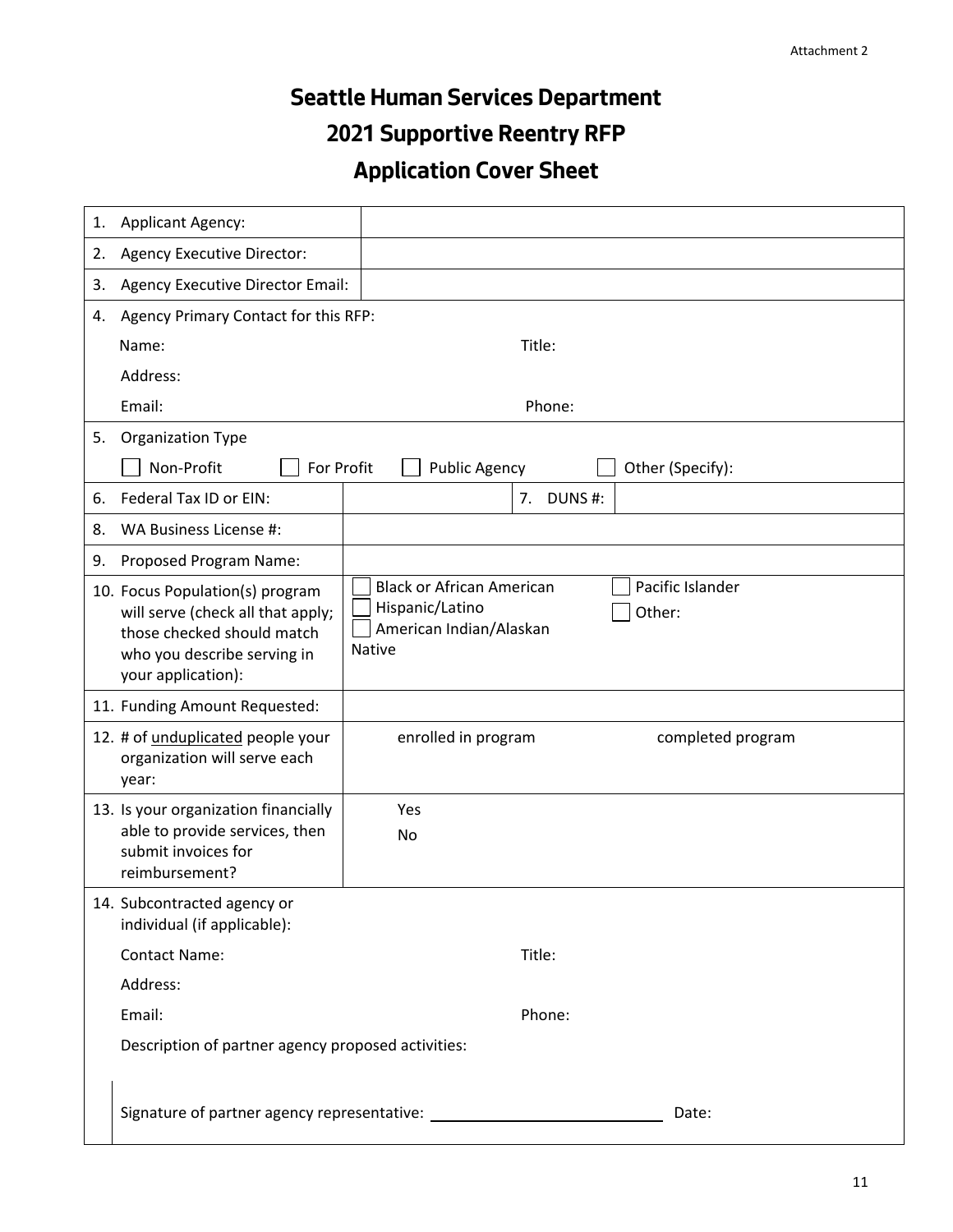# **Seattle Human Services Department 2021 Supportive Reentry RFP Application Cover Sheet**

| 1. | <b>Applicant Agency:</b>                                                                                                                                |                                                                                                                               |  |  |  |
|----|---------------------------------------------------------------------------------------------------------------------------------------------------------|-------------------------------------------------------------------------------------------------------------------------------|--|--|--|
| 2. | Agency Executive Director:                                                                                                                              |                                                                                                                               |  |  |  |
| 3. | Agency Executive Director Email:                                                                                                                        |                                                                                                                               |  |  |  |
| 4. | Agency Primary Contact for this RFP:                                                                                                                    |                                                                                                                               |  |  |  |
|    | Name:                                                                                                                                                   | Title:                                                                                                                        |  |  |  |
|    | Address:                                                                                                                                                |                                                                                                                               |  |  |  |
|    | Email:                                                                                                                                                  | Phone:                                                                                                                        |  |  |  |
| 5. | <b>Organization Type</b>                                                                                                                                |                                                                                                                               |  |  |  |
|    | Non-Profit<br>For Profit                                                                                                                                | <b>Public Agency</b><br>Other (Specify):                                                                                      |  |  |  |
| 6. | Federal Tax ID or EIN:                                                                                                                                  | 7.<br>DUNS#:                                                                                                                  |  |  |  |
| 8. | WA Business License #:                                                                                                                                  |                                                                                                                               |  |  |  |
| 9. | Proposed Program Name:                                                                                                                                  |                                                                                                                               |  |  |  |
|    | 10. Focus Population(s) program<br>will serve (check all that apply;<br>those checked should match<br>who you describe serving in<br>your application): | Pacific Islander<br><b>Black or African American</b><br>Hispanic/Latino<br>Other:<br>American Indian/Alaskan<br><b>Native</b> |  |  |  |
|    | 11. Funding Amount Requested:                                                                                                                           |                                                                                                                               |  |  |  |
|    | 12. # of unduplicated people your<br>organization will serve each<br>year:                                                                              | enrolled in program<br>completed program                                                                                      |  |  |  |
|    | 13. Is your organization financially<br>able to provide services, then<br>submit invoices for                                                           | Yes<br>No                                                                                                                     |  |  |  |
|    | reimbursement?                                                                                                                                          |                                                                                                                               |  |  |  |
|    | 14. Subcontracted agency or<br>individual (if applicable):                                                                                              |                                                                                                                               |  |  |  |
|    | <b>Contact Name:</b>                                                                                                                                    | Title:                                                                                                                        |  |  |  |
|    | Address:                                                                                                                                                |                                                                                                                               |  |  |  |
|    | Email:                                                                                                                                                  | Phone:                                                                                                                        |  |  |  |
|    | Description of partner agency proposed activities:                                                                                                      |                                                                                                                               |  |  |  |
|    |                                                                                                                                                         | Date:                                                                                                                         |  |  |  |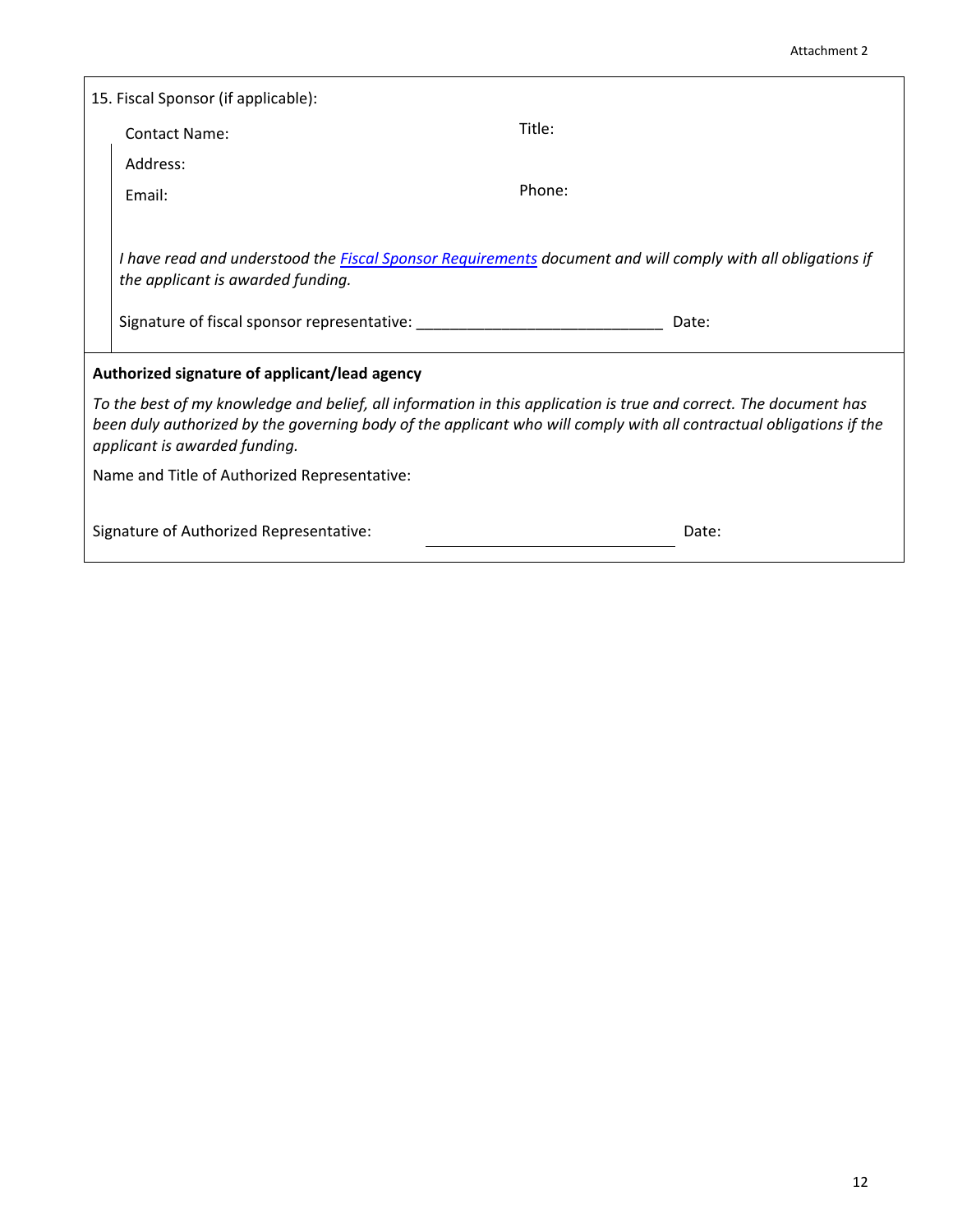| 15. Fiscal Sponsor (if applicable):          |                                                                                                                                                                                                                                                                           |        |  |  |
|----------------------------------------------|---------------------------------------------------------------------------------------------------------------------------------------------------------------------------------------------------------------------------------------------------------------------------|--------|--|--|
|                                              | <b>Contact Name:</b>                                                                                                                                                                                                                                                      | Title: |  |  |
|                                              | Address:                                                                                                                                                                                                                                                                  |        |  |  |
|                                              | Email:                                                                                                                                                                                                                                                                    | Phone: |  |  |
|                                              | I have read and understood the Fiscal Sponsor Requirements document and will comply with all obligations if<br>the applicant is awarded funding.                                                                                                                          |        |  |  |
|                                              | Signature of fiscal sponsor representative: Signature of fiscal sponsor representative:                                                                                                                                                                                   | Date:  |  |  |
|                                              | Authorized signature of applicant/lead agency                                                                                                                                                                                                                             |        |  |  |
|                                              | To the best of my knowledge and belief, all information in this application is true and correct. The document has<br>been duly authorized by the governing body of the applicant who will comply with all contractual obligations if the<br>applicant is awarded funding. |        |  |  |
| Name and Title of Authorized Representative: |                                                                                                                                                                                                                                                                           |        |  |  |
|                                              | Signature of Authorized Representative:                                                                                                                                                                                                                                   | Date:  |  |  |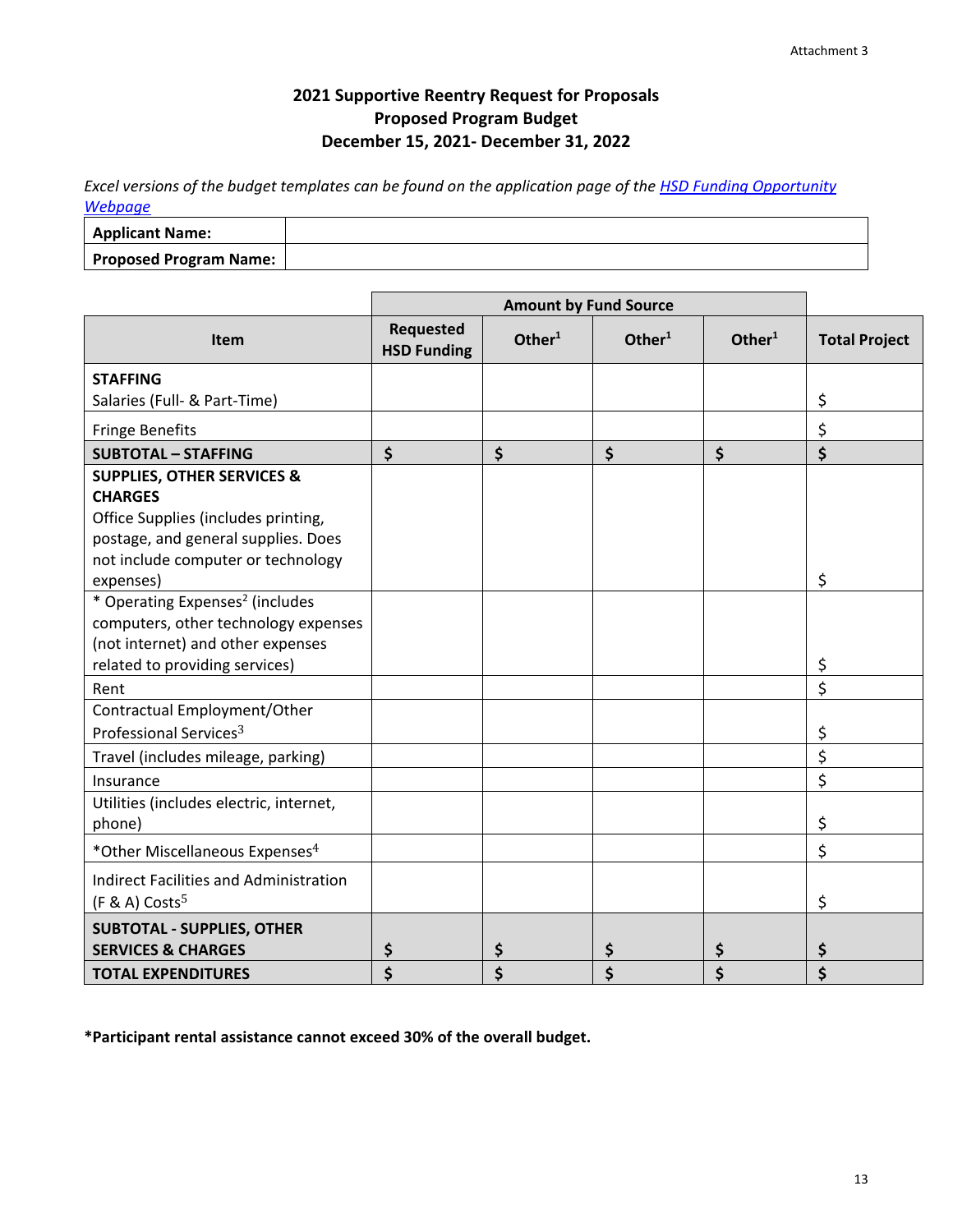# **2021 Supportive Reentry Request for Proposals Proposed Program Budget December 15, 2021- December 31, 2022**

*Excel versions of the budget templates can be found on the application page of the [HSD Funding Opportunity](http://www.seattle.gov/humanservices/funding-and-reports/funding-opportunities)  [Webpage](http://www.seattle.gov/humanservices/funding-and-reports/funding-opportunities)*

| <b>Applicant Name:</b>        |  |
|-------------------------------|--|
| <b>Proposed Program Name:</b> |  |

|                                                                                                                                                                                          | <b>Amount by Fund Source</b>           |                    |                    |           |                      |
|------------------------------------------------------------------------------------------------------------------------------------------------------------------------------------------|----------------------------------------|--------------------|--------------------|-----------|----------------------|
| Item                                                                                                                                                                                     | <b>Requested</b><br><b>HSD Funding</b> | Other <sup>1</sup> | Other <sup>1</sup> | Other $1$ | <b>Total Project</b> |
| <b>STAFFING</b><br>Salaries (Full- & Part-Time)                                                                                                                                          |                                        |                    |                    |           | \$                   |
| <b>Fringe Benefits</b>                                                                                                                                                                   |                                        |                    |                    |           | \$                   |
| <b>SUBTOTAL - STAFFING</b>                                                                                                                                                               | \$                                     | \$                 | $\zeta$            | $\zeta$   | \$                   |
| <b>SUPPLIES, OTHER SERVICES &amp;</b><br><b>CHARGES</b><br>Office Supplies (includes printing,<br>postage, and general supplies. Does<br>not include computer or technology<br>expenses) |                                        |                    |                    |           | \$                   |
| * Operating Expenses <sup>2</sup> (includes<br>computers, other technology expenses<br>(not internet) and other expenses<br>related to providing services)                               |                                        |                    |                    |           | \$                   |
| Rent                                                                                                                                                                                     |                                        |                    |                    |           | \$                   |
| Contractual Employment/Other<br>Professional Services <sup>3</sup>                                                                                                                       |                                        |                    |                    |           | \$                   |
| Travel (includes mileage, parking)                                                                                                                                                       |                                        |                    |                    |           | \$                   |
| Insurance                                                                                                                                                                                |                                        |                    |                    |           | \$                   |
| Utilities (includes electric, internet,<br>phone)                                                                                                                                        |                                        |                    |                    |           | \$                   |
| *Other Miscellaneous Expenses <sup>4</sup>                                                                                                                                               |                                        |                    |                    |           | \$                   |
| Indirect Facilities and Administration<br>$(F & A)$ Costs <sup>5</sup>                                                                                                                   |                                        |                    |                    |           | \$                   |
| <b>SUBTOTAL - SUPPLIES, OTHER</b><br><b>SERVICES &amp; CHARGES</b>                                                                                                                       | \$                                     | \$                 | \$                 | \$        | \$                   |
| <b>TOTAL EXPENDITURES</b>                                                                                                                                                                | \$                                     | \$                 | \$                 | \$        | \$                   |

**\*Participant rental assistance cannot exceed 30% of the overall budget.**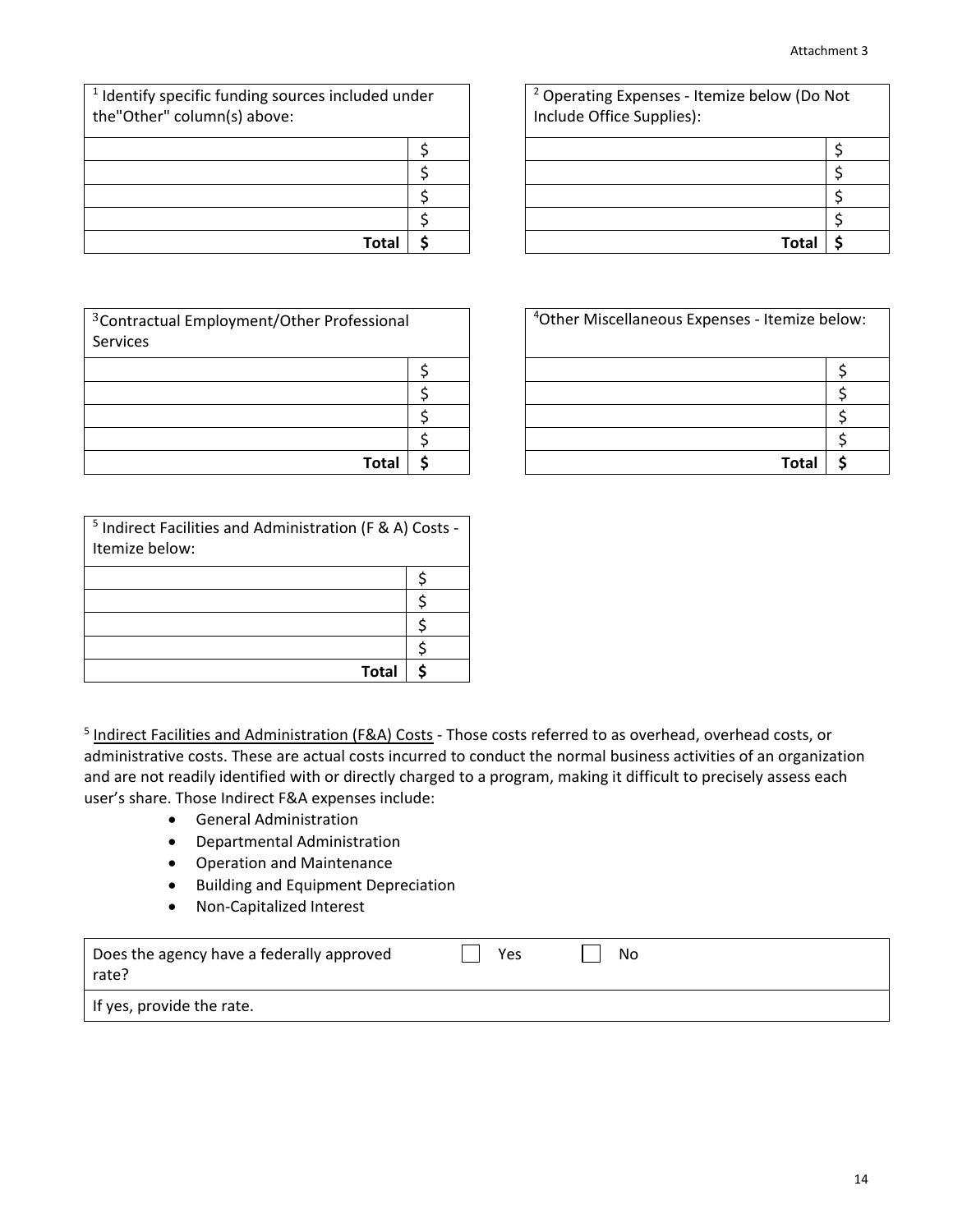| <sup>1</sup> Identify specific funding sources included under<br>the"Other" column(s) above: |  |
|----------------------------------------------------------------------------------------------|--|
|                                                                                              |  |
|                                                                                              |  |
|                                                                                              |  |
|                                                                                              |  |
| Total                                                                                        |  |

| <sup>3</sup> Contractual Employment/Other Professional<br>Services |  |
|--------------------------------------------------------------------|--|
|                                                                    |  |
|                                                                    |  |
|                                                                    |  |
|                                                                    |  |
| Total                                                              |  |

| <sup>5</sup> Indirect Facilities and Administration (F & A) Costs -<br>Itemize below: |  |
|---------------------------------------------------------------------------------------|--|
|                                                                                       |  |
|                                                                                       |  |
|                                                                                       |  |
|                                                                                       |  |
| <b>Total</b>                                                                          |  |

| <sup>5</sup> Indirect Facilities and Administration (F&A) Costs - Those costs referred to as overhead, overhead costs, or |
|---------------------------------------------------------------------------------------------------------------------------|
| administrative costs. These are actual costs incurred to conduct the normal business activities of an organization        |
| and are not readily identified with or directly charged to a program, making it difficult to precisely assess each        |
| user's share. Those Indirect F&A expenses include:                                                                        |
|                                                                                                                           |

- General Administration
- Departmental Administration
- Operation and Maintenance
- Building and Equipment Depreciation
- Non-Capitalized Interest

| Does the agency have a federally approved<br>rate? | Yes | No |
|----------------------------------------------------|-----|----|
| If yes, provide the rate.                          |     |    |

| ded under |  | <sup>2</sup> Operating Expenses - Itemize below (Do Not<br>Include Office Supplies): |  |  |  |
|-----------|--|--------------------------------------------------------------------------------------|--|--|--|
|           |  |                                                                                      |  |  |  |
|           |  |                                                                                      |  |  |  |
|           |  |                                                                                      |  |  |  |
|           |  |                                                                                      |  |  |  |
| Total     |  | Tota                                                                                 |  |  |  |

| ssional |  | <sup>4</sup> Other Miscellaneous Expenses - Itemize below: |  |  |  |
|---------|--|------------------------------------------------------------|--|--|--|
|         |  |                                                            |  |  |  |
|         |  |                                                            |  |  |  |
|         |  |                                                            |  |  |  |
|         |  |                                                            |  |  |  |
| Total   |  | Tota                                                       |  |  |  |